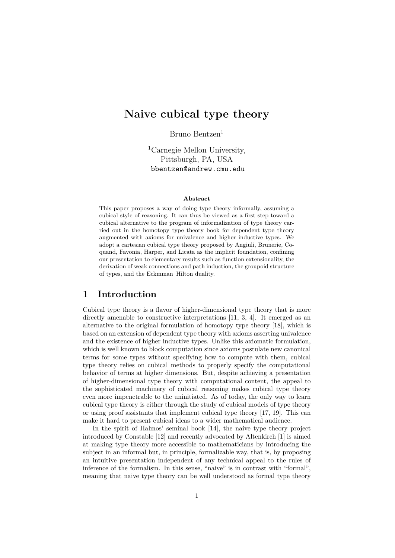# **Naive cubical type theory**

Bruno Bentzen<sup>1</sup>

<sup>1</sup>Carnegie Mellon University, Pittsburgh, PA, USA bbentzen@andrew.cmu.edu

#### **Abstract**

This paper proposes a way of doing type theory informally, assuming a cubical style of reasoning. It can thus be viewed as a first step toward a cubical alternative to the program of informalization of type theory carried out in the homotopy type theory book for dependent type theory augmented with axioms for univalence and higher inductive types. We adopt a cartesian cubical type theory proposed by Angiuli, Brunerie, Coquand, Favonia, Harper, and Licata as the implicit foundation, confining our presentation to elementary results such as function extensionality, the derivation of weak connections and path induction, the groupoid structure of types, and the Eckmman–Hilton duality.

## **1 Introduction**

Cubical type theory is a flavor of higher-dimensional type theory that is more directly amenable to constructive interpretations [11, 3, 4]. It emerged as an alternative to the original formulation of homotopy type theory [18], which is based on an extension of dependent type theory with axioms asserting univalence and the existence of higher inductive types. Unlike this axiomatic formulation, which is well known to block computation since axi[om](#page-28-0)s [p](#page-27-0)o[st](#page-28-1)ulate new canonical terms for some types without specifying how to compute with t[hem](#page-29-0), cubical type theory relies on cubical methods to properly specify the computational behavior of terms at higher dimensions. But, despite achieving a presentation of higher-dimensional type theory with computational content, the appeal to the sophisticated machinery of cubical reasoning makes cubical type theory even more impenetrable to the uninitiated. As of today, the only way to learn cubical type theory is either through the study of cubical models of type theory or using proof assistants that implement cubical type theory [17, 19]. This can make it hard to present cubical ideas to a wider mathematical audience.

In the spirit of Halmos' seminal book [14], the naive type theory project introduced by Constable [12] and recently advocated by Altenkirch [1] is aimed at making type theory more accessible to mathematicians b[y in](#page-29-1)[tro](#page-29-2)ducing the subject in an informal but, in principle, formalizable way, that is, by proposing an intuitive presentation independent of a[ny](#page-28-2) technical appeal to the rules of inference of the formalis[m.](#page-28-3) In this sense, "naive" is in contrast wit[h](#page-27-1) "formal", meaning that naive type theory can be well understood as formal type theory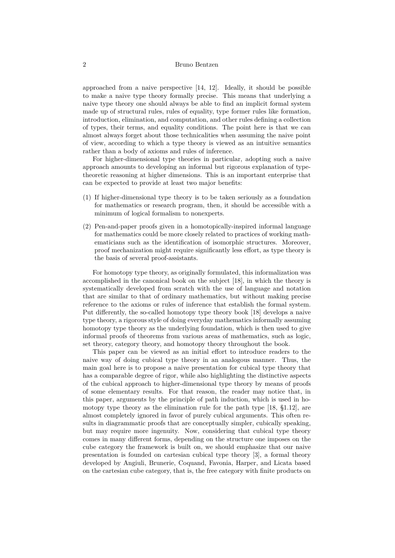#### 2 Bruno Bentzen

approached from a naive perspective [14, 12]. Ideally, it should be possible to make a naive type theory formally precise. This means that underlying a naive type theory one should always be able to find an implicit formal system made up of structural rules, rules of equality, type former rules like formation, introduction, elimination, and computa[tion](#page-28-2), [an](#page-28-3)d other rules defining a collection of types, their terms, and equality conditions. The point here is that we can almost always forget about those technicalities when assuming the naive point of view, according to which a type theory is viewed as an intuitive semantics rather than a body of axioms and rules of inference.

For higher-dimensional type theories in particular, adopting such a naive approach amounts to developing an informal but rigorous explanation of typetheoretic reasoning at higher dimensions. This is an important enterprise that can be expected to provide at least two major benefits:

- (1) If higher-dimensional type theory is to be taken seriously as a foundation for mathematics or research program, then, it should be accessible with a minimum of logical formalism to nonexperts.
- (2) Pen-and-paper proofs given in a homotopically-inspired informal language for mathematics could be more closely related to practices of working mathematicians such as the identification of isomorphic structures. Moreover, proof mechanization might require significantly less effort, as type theory is the basis of several proof-assistants.

For homotopy type theory, as originally formulated, this informalization was accomplished in the canonical book on the subject [18], in which the theory is systematically developed from scratch with the use of language and notation that are similar to that of ordinary mathematics, but without making precise reference to the axioms or rules of inference that establish the formal system. Put differently, the so-called homotopy type theory [bo](#page-29-0)ok [18] develops a naive type theory, a rigorous style of doing everyday mathematics informally assuming homotopy type theory as the underlying foundation, which is then used to give informal proofs of theorems from various areas of mathematics, such as logic, set theory, category theory, and homotopy theory through[out](#page-29-0) the book.

This paper can be viewed as an initial effort to introduce readers to the naive way of doing cubical type theory in an analogous manner. Thus, the main goal here is to propose a naive presentation for cubical type theory that has a comparable degree of rigor, while also highlighting the distinctive aspects of the cubical approach to higher-dimensional type theory by means of proofs of some elementary results. For that reason, the reader may notice that, in this paper, arguments by the principle of path induction, which is used in homotopy type theory as the elimination rule for the path type [18, §1.12], are almost completely ignored in favor of purely cubical arguments. This often results in diagrammatic proofs that are conceptually simpler, cubically speaking, but may require more ingenuity. Now, considering that cubical type theory comes in many different forms, depending on the structure one i[mp](#page-29-0)oses on the cube category the framework is built on, we should emphasize that our naive presentation is founded on cartesian cubical type theory [3], a formal theory developed by Angiuli, Brunerie, Coquand, Favonia, Harper, and Licata based on the cartesian cube category, that is, the free category with finite products on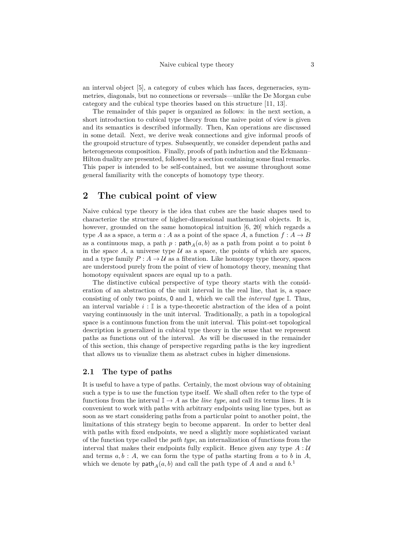an interval object [5], a category of cubes which has faces, degeneracies, symmetries, diagonals, but no connections or reversals—unlike the De Morgan cube category and the cubical type theories based on this structure [11, 13].

The remainder of this paper is organized as follows: in the next section, a short introduction [to](#page-28-4) cubical type theory from the naive point of view is given and its semantics is described informally. Then, Kan operations are discussed in some detail. Next, we derive weak connections and give in[for](#page-28-0)[mal](#page-28-5) proofs of the groupoid structure of types. Subsequently, we consider dependent paths and heterogeneous composition. Finally, proofs of path induction and the Eckmann– Hilton duality are presented, followed by a section containing some final remarks. This paper is intended to be self-contained, but we assume throughout some general familiarity with the concepts of homotopy type theory.

## **2 The cubical point of view**

Naive cubical type theory is the idea that cubes are the basic shapes used to characterize the structure of higher-dimensional mathematical objects. It is, however, grounded on the same homotopical intuition [6, 20] which regards a type *A* as a space, a term  $a : A$  as a point of the space *A*, a function  $f : A \rightarrow B$ as a continuous map, a path  $p$ :  $\mathsf{path}_A(a, b)$  as a path from point  $a$  to point  $b$ in the space  $A$ , a universe type  $U$  as a space, the points of which are spaces, and a type family  $P: A \to U$  as a fibration. Like homot[op](#page-28-6)[y ty](#page-29-3)pe theory, spaces are understood purely from the point of view of homotopy theory, meaning that homotopy equivalent spaces are equal up to a path.

The distinctive cubical perspective of type theory starts with the consideration of an abstraction of the unit interval in the real line, that is, a space consisting of only two points, 0 and 1, which we call the *interval type* I. Thus, an interval variable  $i: \mathbb{I}$  is a type-theoretic abstraction of the idea of a point varying continuously in the unit interval. Traditionally, a path in a topological space is a continuous function from the unit interval. This point-set topological description is generalized in cubical type theory in the sense that we represent paths as functions out of the interval. As will be discussed in the remainder of this section, this change of perspective regarding paths is the key ingredient that allows us to visualize them as abstract cubes in higher dimensions.

### **2.1 The type of paths**

<span id="page-2-0"></span>It is useful to have a type of paths. Certainly, the most obvious way of obtaining such a type is to use the function type itself. We shall often refer to the type of functions from the interval  $\mathbb{I} \to A$  as the *line type*, and call its terms lines. It is convenient to work with paths with arbitrary endpoints using line types, but as soon as we start considering paths from a particular point to another point, the limitations of this strategy begin to become apparent. In order to better deal with paths with fixed endpoints, we need a slightly more sophisticated variant of the function type called the *path type*, an internalization of functions from the interval that makes their endpoints fully explicit. Hence given any type  $A: U$ and terms  $a, b : A$ , we can form the type of paths starting from  $a$  to  $b$  in  $A$ , which we denote by  $\text{path}_A(a, b)$  and call the path type of *A* and *a* and  $b$ <sup>1</sup>.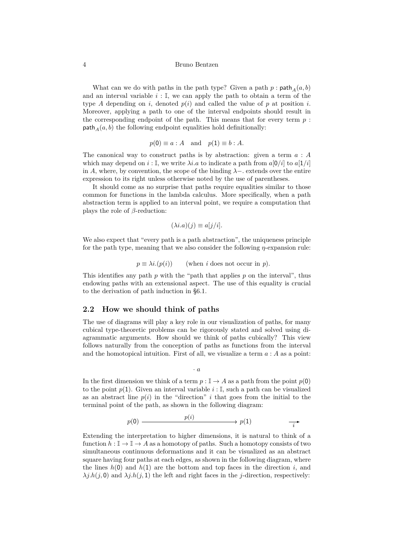#### 4 Bruno Bentzen

What can we do with paths in the path type? Given a path  $p : \text{path}_A(a, b)$ and an interval variable  $i: \mathbb{I}$ , we can apply the path to obtain a term of the type *A* depending on *i*, denoted  $p(i)$  and called the value of *p* at position *i*. Moreover, applying a path to one of the interval endpoints should result in the corresponding endpoint of the path. This means that for every term *p* : path<sub> $A$ </sub> $(a, b)$  the following endpoint equalities hold definitionally:

$$
p(0) \equiv a : A
$$
 and  $p(1) \equiv b : A$ .

The canonical way to construct paths is by abstraction: given a term *a* : *A* which may depend on  $i : \mathbb{I}$ , we write  $\lambda i.a$  to indicate a path from  $a[0/i]$  to  $a[1/i]$ in *A*, where, by convention, the scope of the binding  $\lambda$ − extends over the entire expression to its right unless otherwise noted by the use of parentheses.

It should come as no surprise that paths require equalities similar to those common for functions in the lambda calculus. More specifically, when a path abstraction term is applied to an interval point, we require a computation that plays the role of *β*-reduction:

$$
(\lambda i.a)(j) \equiv a[j/i].
$$

We also expect that "every path is a path abstraction", the uniqueness principle for the path type, meaning that we also consider the following *η*-expansion rule:

 $p \equiv \lambda i.(p(i))$  (when *i* does not occur in *p*).

This identifies any path *p* with the "path that applies *p* on the interval", thus endowing paths with an extensional aspect. The use of this equality is crucial to the derivation of path induction in §6.1.

### **2.2 How we should think of paths**

The use of diagrams will play a key rol[e in](#page-22-0) our visualization of paths, for many cubical type-theoretic problems can be rigorously stated and solved using diagrammatic arguments. How should we think of paths cubically? This view follows naturally from the conception of paths as functions from the interval and the homotopical intuition. First of all, we visualize a term *a* : *A* as a point:

*· a*

In the first dimension we think of a term  $p : \mathbb{I} \to A$  as a path from the point  $p(0)$ to the point  $p(1)$ . Given an interval variable  $i: \mathbb{I}$ , such a path can be visualized as an abstract line  $p(i)$  in the "direction" *i* that goes from the initial to the terminal point of the path, as shown in the following diagram:

$$
p(0) \xrightarrow{\hspace{1cm}} p(i) \xrightarrow{\hspace{1cm}} p(1) \xrightarrow{\hspace{1cm}} \overrightarrow{i}
$$

Extending the interpretation to higher dimensions, it is natural to think of a function  $h: \mathbb{I} \to \mathbb{I} \to A$  as a homotopy of paths. Such a homotopy consists of two simultaneous continuous deformations and it can be visualized as an abstract square having four paths at each edges, as shown in the following diagram, where the lines  $h(0)$  and  $h(1)$  are the bottom and top faces in the direction *i*, and  $\lambda j.h(j,0)$  and  $\lambda j.h(j,1)$  the left and right faces in the *j*-direction, respectively: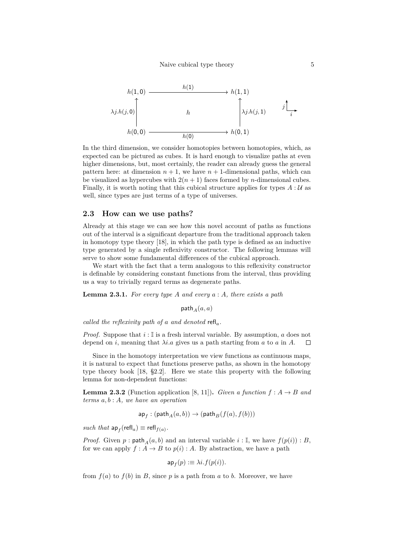

In the third dimension, we consider homotopies between homotopies, which, as expected can be pictured as cubes. It is hard enough to visualize paths at even higher dimensions, but, most certainly, the reader can already guess the general pattern here: at dimension  $n + 1$ , we have  $n + 1$ -dimensional paths, which can be visualized as hypercubes with  $2(n + 1)$  faces formed by *n*-dimensional cubes. Finally, it is worth noting that this cubical structure applies for types  $A: U$  as well, since types are just terms of a type of universes.

#### **2.3 How can we use paths?**

Already at this stage we can see how this novel account of paths as functions out of the interval is a significant departure from the traditional approach taken in homotopy type theory [18], in which the path type is defined as an inductive type generated by a single reflexivity constructor. The following lemmas will serve to show some fundamental differences of the cubical approach.

We start with the fact that a term analogous to this reflexivity constructor is definable by considerin[g co](#page-29-0)nstant functions from the interval, thus providing us a way to trivially regard terms as degenerate paths.

**Lemma 2.3.1.** *For every type A and every a* : *A, there exists a path*

path<sub> $A$ </sub> $(a, a)$ 

*called the reflexivity path of a and denoted* refl*a.*

*Proof.* Suppose that  $i: \mathbb{I}$  is a fresh interval variable. By assumption, *a* does not depend on *i*, meaning that *λi.a* gives us a path starting from *a* to *a* in *A*.  $\Box$ 

Since in the homotopy interpretation we view functions as continuous maps, it is natural to expect that functions preserve paths, as shown in the homotopy type theory book [18, §2.2]. Here we state this property with the following lemma for non-dependent functions:

**Lemma 2.3.2** (Function application [8, 11]). *Given a function*  $f : A \rightarrow B$  *and terms a, b* : *A, we h[ave](#page-29-0) an operation*

$$
\mathsf{ap}_f: (\mathsf{path}_A(a,b)) \to (\mathsf{path}_B(f(a),f(b)))
$$

 $such that$   $ap_f$ ( $refl_a$ )  $\equiv$   $refl_{f(a)}$ .

*Proof.* Given  $p: \text{path}_A(a, b)$  and an interval variable  $i: \mathbb{I}$ , we have  $f(p(i)): B$ , for we can apply  $f : A \to B$  to  $p(i) : A$ . By abstraction, we have a path

$$
\mathsf{ap}_f(p) := \lambda i.f(p(i)).
$$

from  $f(a)$  to  $f(b)$  in *B*, since *p* is a path from *a* to *b*. Moreover, we have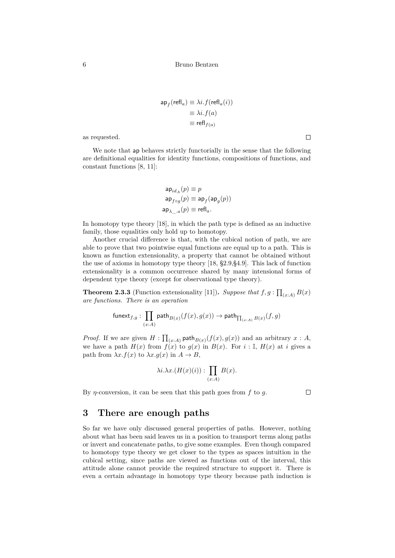$$
\mathsf{ap}_f(\mathsf{refl}_a) \equiv \lambda i. f(\mathsf{refl}_a(i))
$$

$$
\equiv \lambda i. f(a)
$$

$$
\equiv \mathsf{refl}_{f(a)}
$$

as requested.

We note that ap behaves strictly functorially in the sense that the following are definitional equalities for identity functions, compositions of functions, and constant functions [8, 11]:

$$
\begin{aligned} \mathsf{ap}_{id_A}(p) &\equiv p\\ \mathsf{ap}_{f \circ g}(p) &\equiv \mathsf{ap}_f(\mathsf{ap}_g(p))\\ \mathsf{ap}_{\lambda \_a}(p) &\equiv \mathsf{refl}_a. \end{aligned}
$$

In homotopy type theory [18], in which the path type is defined as an inductive family, those equalities only hold up to homotopy.

Another crucial difference is that, with the cubical notion of path, we are able to prove that two pointwise equal functions are equal up to a path. This is known as function extensi[on](#page-29-0)ality, a property that cannot be obtained without the use of axioms in homotopy type theory [18, §2.9,§4.9]. This lack of function extensionality is a common occurrence shared by many intensional forms of dependent type theory (except for observational type theory).

**Theorem 2.3.3** (Function extensionality [[11\]\)](#page-29-0). *Suppose that*  $f, g : \prod_{(x:A)} B(x)$ *are functions. There is an operation*

$$
\mathsf{funext}_{f,g}:\prod_{(x:A)}\mathsf{path}_{B(x)}(f(x),g(x))\to\mathsf{path}_{\prod_{(x:A)}B(x)}(f,g)
$$

<span id="page-5-0"></span>*Proof.* If we are given  $H: \prod_{(x:A)} \text{path}_{B(x)}(f(x), g(x))$  and an arbitrary  $x:A$ , we have a path  $H(x)$  from  $f(x)$  to  $g(x)$  in  $B(x)$ . For  $i : \mathbb{I}$ ,  $H(x)$  at *i* gives a path from  $\lambda x.f(x)$  to  $\lambda x.q(x)$  in  $A \to B$ ,

$$
\lambda i.\lambda x.(H(x)(i)) : \prod_{(x:A)} B(x).
$$

By *η*-conversion, it can be seen that this path goes from *f* to *g*.

 $\Box$ 

## **3 There are enough paths**

So far we have only discussed general properties of paths. However, nothing about what has been said leaves us in a position to transport terms along paths or invert and concatenate paths, to give some examples. Even though compared to homotopy type theory we get closer to the types as spaces intuition in the cubical setting, since paths are viewed as functions out of the interval, this attitude alone cannot provide the required structure to support it. There is even a certain advantage in homotopy type theory because path induction is

 $\Box$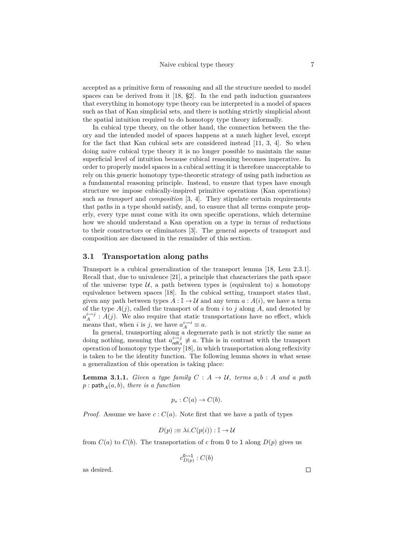accepted as a primitive form of reasoning and all the structure needed to model spaces can be derived from it  $[18, §2]$ . In the end path induction guarantees that everything in homotopy type theory can be interpreted in a model of spaces such as that of Kan simplicial sets, and there is nothing strictly simplicial about the spatial intuition required to do homotopy type theory informally.

In cubical type theory, on t[he](#page-29-0) other hand, the connection between the theory and the intended model of spaces happens at a much higher level, except for the fact that Kan cubical sets are considered instead [11, 3, 4]. So when doing naive cubical type theory it is no longer possible to maintain the same superficial level of intuition because cubical reasoning becomes imperative. In order to properly model spaces in a cubical setting it is therefore unacceptable to rely on this generic homotopy type-theoretic strategy of usi[ng p](#page-28-0)[at](#page-27-0)h [i](#page-28-1)nduction as a fundamental reasoning principle. Instead, to ensure that types have enough structure we impose cubically-inspired primitive operations (Kan operations) such as *transport* and *composition* [3, 4]. They stipulate certain requirements that paths in a type should satisfy, and, to ensure that all terms compute properly, every type must come with its own specific operations, which determine how we should understand a Kan operation on a type in terms of reductions to their constructors or eliminators [\[](#page-27-0)3[\].](#page-28-1) The general aspects of transport and composition are discussed in the remainder of this section.

#### **3.1 Transportation along [pa](#page-27-0)ths**

Transport is a cubical generalization of the transport lemma [18, Lem 2.3.1]. Recall that, due to univalence [21], a principle that characterizes the path space of the universe type  $U$ , a path between types is (equivalent to) a homotopy equivalence between spaces [18]. In the cubical setting, transport states that, given any path between types  $A : \mathbb{I} \to \mathcal{U}$  and any term  $a : A(i)$ , [we](#page-29-0) have a term of the type  $A(j)$ , called the tr[ans](#page-29-4)port of *a* from *i* to *j* along *A*, and denoted by  $a_A^{i \rightarrow j}$ : *A*(*j*). We also require that static transportations have no effect, which means that, when *i* is *j*, we [hav](#page-29-0)e  $a_A^{i \leadsto i} \equiv a$ .

In general, transporting along a degenerate path is not strictly the same as doing nothing, meaning that  $a_{\text{refl}_A}^{i \rightarrow j} \neq a$ . This is in contrast with the transport operation of homotopy type theory [18], in which transportation along reflexivity is taken to be the identity function. The following lemma shows in what sense a generalization of this operation is taking place:

**Lemma 3.1.1.** *Given a type fam[ily](#page-29-0)*  $C: A \rightarrow U$ *, terms*  $a, b: A$  *and a path*  $p:$  path<sub> $A$ </sub> $(a,b)$ *, there is a function* 

$$
p_*: C(a) \to C(b).
$$

*Proof.* Assume we have  $c: C(a)$ . Note first that we have a path of types

$$
D(p) := \lambda i.C(p(i)) : \mathbb{I} \to \mathcal{U}
$$

from  $C(a)$  to  $C(b)$ . The transportation of c from 0 to 1 along  $D(p)$  gives us

$$
c_{D(p)}^{0\rightsquigarrow 1}:C(b)
$$

as desired.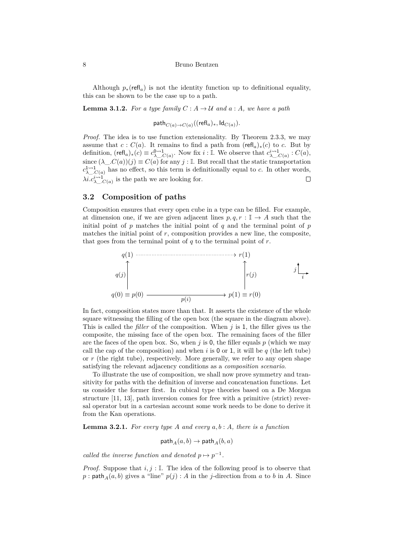Although  $p_*(\text{refl}_a)$  is not the identity function up to definitional equality, this can be shown to be the case up to a path.

#### **Lemma 3.1.2.** For a type family  $C: A \rightarrow \mathcal{U}$  and  $a: A$ , we have a path

$$
\mathsf{path}_{C(a) \to C(a)}((\mathsf{refl}_a)_*, \mathsf{Id}_{C(a)}).
$$

*Proof.* The idea is to use function extensionality. By Theorem 2.3.3, we may assume that  $c: C(a)$ . It remains to find a path from  $(\text{refl}_a)_*(c)$  to *c*. But by definition,  $(\text{refl}_a)_*(c) \equiv c_{\lambda}^{0 \rightarrow 1} c_{(a)}$ . Now fix  $i : \mathbb{I}$ . We observe that  $c_{\lambda}^{i \rightarrow 1} c_{(a)} : C(a)$ , since  $(\lambda \_C(a))(j) \equiv C(a)$  for any  $j : \mathbb{I}$ . But recall that the static transportation  $c^{\mathbf{1}\leadsto\mathbf{1}}_{\lambda_{\text{...}},C(a)}$  has no effect, so this term is definitionally equal to *c*. I[n oth](#page-5-0)er words,  $\lambda i.c^{\lambda\rightarrow 1}_{\lambda C(a)}$  is the path we are looking for.  $\Box$ 

### **3.2 Composition of paths**

<span id="page-7-1"></span>Composition ensures that every open cube in a type can be filled. For example, at dimension one, if we are given adjacent lines  $p, q, r : \mathbb{I} \to A$  such that the initial point of *p* matches the initial point of *q* and the terminal point of *p* matches the initial point of  $r$ , composition provides a new line, the composite, that goes from the terminal point of *q* to the terminal point of *r*.



In fact, composition states more than that. It asserts the existence of the whole square witnessing the filling of the open box (the square in the diagram above). This is called the *filler* of the composition. When *j* is 1, the filler gives us the composite, the missing face of the open box. The remaining faces of the filler are the faces of the open box. So, when  $j$  is 0, the filler equals  $p$  (which we may call the cap of the composition) and when  $i$  is 0 or 1, it will be  $q$  (the left tube) or *r* (the right tube), respectively. More generally, we refer to any open shape satisfying the relevant adjacency conditions as a *composition scenario*.

To illustrate the use of composition, we shall now prove symmetry and transitivity for paths with the definition of inverse and concatenation functions. Let us consider the former first. In cubical type theories based on a De Morgan structure [11, 13], path inversion comes for free with a primitive (strict) reversal operator but in a cartesian account some work needs to be done to derive it from the Kan operations.

**Lemma [3.2](#page-28-0).[1.](#page-28-5)** *For every type A and every a, b* : *A, there is a function*

$$
\mathsf{path}_A(a,b) \to \mathsf{path}_A(b,a)
$$

<span id="page-7-0"></span>*called the inverse function and denoted*  $p \mapsto p^{-1}$ .

*Proof.* Suppose that  $i, j : \mathbb{I}$ . The idea of the following proof is to observe that  $p:$  path<sub>*A*</sub>( $a, b$ ) gives a "line"  $p(j):$  *A* in the *j*-direction from *a* to *b* in *A*. Since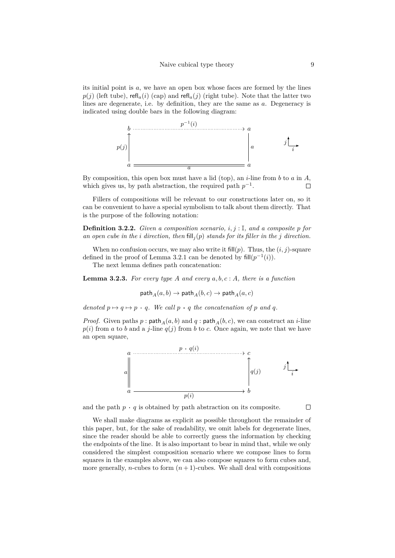its initial point is *a*, we have an open box whose faces are formed by the lines  $p(j)$  (left tube), refl<sub>a</sub>(*i*) (cap) and refl<sub>a</sub>(*j*) (right tube). Note that the latter two lines are degenerate, i.e. by definition, they are the same as *a*. Degeneracy is indicated using double bars in the following diagram:



By composition, this open box must have a lid (top), an *i*-line from *b* to *a* in *A*, which gives us, by path abstraction, the required path  $p^{-1}$ .  $\Box$ 

Fillers of compositions will be relevant to our constructions later on, so it can be convenient to have a special symbolism to talk about them directly. That is the purpose of the following notation:

**Definition 3.2.2.** *Given a composition scenario, i, j* : I*, and a composite p for* an open cube in the *i* direction, then  $\text{fill}_i(p)$  stands for its filler in the *j* direction.

When no confusion occurs, we may also write it fill( $p$ ). Thus, the  $(i, j)$ -square defined in the proof of Lemma 3.2.1 can be denoted by  $\text{fill}(p^{-1}(i)).$ 

The next lemma defines path concatenation:

**Lemma 3.2.3.** *For every type A and every a, b, c* : *A, there is a function*

$$
\mathsf{path}_A(a,b) \to \mathsf{path}_A(b,c) \to \mathsf{path}_A(a,c)
$$

<span id="page-8-0"></span>*denoted*  $p \mapsto q \mapsto p \cdot q$ *. We call*  $p \cdot q$  *the concatenation of*  $p$  *and*  $q$ *.* 

*Proof.* Given paths  $p : \text{path}_A(a, b)$  and  $q : \text{path}_A(b, c)$ , we can construct an *i*-line  $p(i)$  from *a* to *b* and a *j*-line  $q(j)$  from *b* to *c*. Once again, we note that we have an open square,



and the path  $p \cdot q$  is obtained by path abstraction on its composite.

 $\Box$ 

We shall make diagrams as explicit as possible throughout the remainder of this paper, but, for the sake of readability, we omit labels for degenerate lines, since the reader should be able to correctly guess the information by checking the endpoints of the line. It is also important to bear in mind that, while we only considered the simplest composition scenario where we compose lines to form squares in the examples above, we can also compose squares to form cubes and, more generally, *n*-cubes to form  $(n+1)$ -cubes. We shall deal with compositions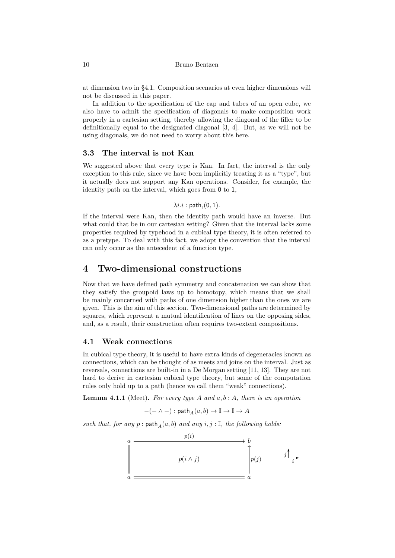at dimension two in §4.1. Composition scenarios at even higher dimensions will not be discussed in this paper.

In addition to the specification of the cap and tubes of an open cube, we also have to admit the specification of diagonals to make composition work properly in a cartesi[an se](#page-9-0)tting, thereby allowing the diagonal of the filler to be definitionally equal to the designated diagonal [3, 4]. But, as we will not be using diagonals, we do not need to worry about this here.

### **3.3 The interval is not Kan**

We suggested above that every type is Kan. I[n f](#page-27-0)[ac](#page-28-1)t, the interval is the only exception to this rule, since we have been implicitly treating it as a "type", but it actually does not support any Kan operations. Consider, for example, the identity path on the interval, which goes from 0 to 1,

## $\lambda i.i:$  path $_{\mathbb{I}}(0,1)$ .

If the interval were Kan, then the identity path would have an inverse. But what could that be in our cartesian setting? Given that the interval lacks some properties required by typehood in a cubical type theory, it is often referred to as a pretype. To deal with this fact, we adopt the convention that the interval can only occur as the antecedent of a function type.

## **4 Two-dimensional constructions**

Now that we have defined path symmetry and concatenation we can show that they satisfy the groupoid laws up to homotopy, which means that we shall be mainly concerned with paths of one dimension higher than the ones we are given. This is the aim of this section. Two-dimensional paths are determined by squares, which represent a mutual identification of lines on the opposing sides, and, as a result, their construction often requires two-extent compositions.

### **4.1 Weak connections**

<span id="page-9-0"></span>In cubical type theory, it is useful to have extra kinds of degeneracies known as connections, which can be thought of as meets and joins on the interval. Just as reversals, connections are built-in in a De Morgan setting [11, 13]. They are not hard to derive in cartesian cubical type theory, but some of the computation rules only hold up to a path (hence we call them "weak" connections).

**Lemma 4.1.1** (Meet)**.** *For every type A and a, b* : *A, the[re](#page-28-0) i[s a](#page-28-5)n operation*

$$
-(- \wedge -) : \mathsf{path}_A(a,b) \to \mathbb{I} \to \mathbb{I} \to A
$$

*such that, for any*  $p$ :  $path_A(a, b)$  *and any*  $i, j$ :  $I$ *, the following holds:* 

$$
\begin{array}{ccc}\na & & p(i) & & b \\
\downarrow & & p(i \land j) & & \\
a & & & & \\
\hline\n\end{array}
$$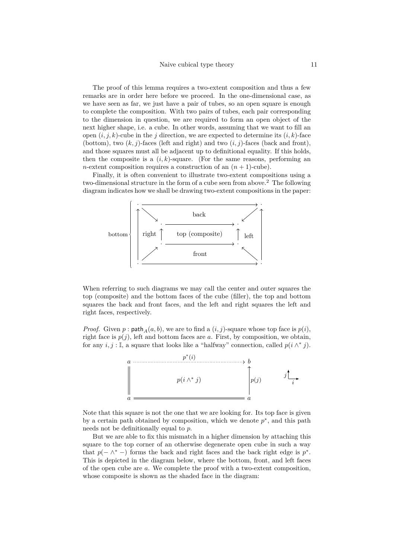The proof of this lemma requires a two-extent composition and thus a few remarks are in order here before we proceed. In the one-dimensional case, as we have seen as far, we just have a pair of tubes, so an open square is enough to complete the composition. With two pairs of tubes, each pair corresponding to the dimension in question, we are required to form an open object of the next higher shape, i.e. a cube. In other words, assuming that we want to fill an open  $(i, j, k)$ -cube in the *j* direction, we are expected to determine its  $(i, k)$ -face (bottom), two  $(k, j)$ -faces (left and right) and two  $(i, j)$ -faces (back and front), and those squares must all be adjacent up to definitional equality. If this holds, then the composite is a  $(i, k)$ -square. (For the same reasons, performing an *n*-extent composition requires a construction of an  $(n + 1)$ -cube).

Finally, it is often convenient to illustrate two-extent compositions using a two-dimensional structure in the form of a cube seen from above.<sup>2</sup> The following diagram indicates how we shall be drawing two-extent compositions in the paper:



When referring to such diagrams we may call the center and outer squares the top (composite) and the bottom faces of the cube (filler), the top and bottom squares the back and front faces, and the left and right squares the left and right faces, respectively.

*Proof.* Given  $p:$  path $_A(a, b)$ , we are to find a  $(i, j)$ -square whose top face is  $p(i)$ , right face is  $p(j)$ , left and bottom faces are  $a$ . First, by composition, we obtain, for any  $i, j : \mathbb{I}$ , a square that looks like a "halfway" connection, called  $p(i \wedge^* j)$ .



Note that this square is not the one that we are looking for. Its top face is given by a certain path obtained by composition, which we denote *p ∗* , and this path needs not be definitionally equal to *p*.

But we are able to fix this mismatch in a higher dimension by attaching this square to the top corner of an otherwise degenerate open cube in such a way that  $p(-\wedge^*)$  forms the back and right faces and the back right edge is  $p^*$ . This is depicted in the diagram below, where the bottom, front, and left faces of the open cube are *a*. We complete the proof with a two-extent composition, whose composite is shown as the shaded face in the diagram: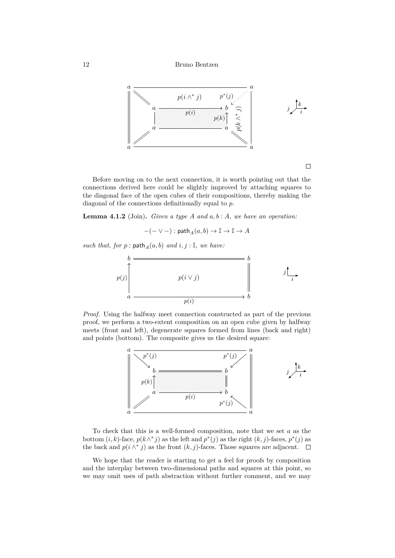

Before moving on to the next connection, it is worth pointing out that the connections derived here could be slightly improved by attaching squares to the diagonal face of the open cubes of their compositions, thereby making the diagonal of the connections definitionally equal to *p*.

**Lemma 4.1.2** (Join)**.** *Given a type A and a, b* : *A, we have an operation:*

 $-(- \vee -)$ : path  $_A(a, b) \rightarrow \mathbb{I} \rightarrow \mathbb{I} \rightarrow A$ 

 $such~that,~for~p:\mathsf{path}_{A}(a,b)~and~i,j:\mathbb{I},~we~have:$ 



*Proof.* Using the halfway meet connection constructed as part of the previous proof, we perform a two-extent composition on an open cube given by halfway meets (front and left), degenerate squares formed from lines (back and right) and points (bottom). The composite gives us the desired square:



To check that this is a well-formed composition, note that we set *a* as the bottom  $(i, k)$ -face,  $p(k \wedge^* j)$  as the left and  $p^*(j)$  as the right  $(k, j)$ -faces,  $p^*(j)$  as the back and  $p(i \wedge^* j)$  as the front  $(k, j)$ -faces. Those squares are adjacent.

We hope that the reader is starting to get a feel for proofs by composition and the interplay between two-dimensional paths and squares at this point, so we may omit uses of path abstraction without further comment, and we may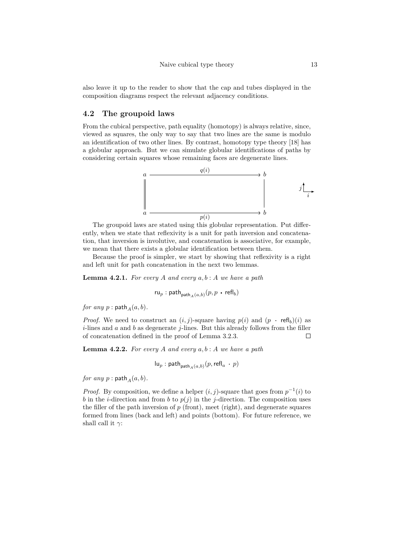also leave it up to the reader to show that the cap and tubes displayed in the composition diagrams respect the relevant adjacency conditions.

### **4.2 The groupoid laws**

<span id="page-12-0"></span>From the cubical perspective, path equality (homotopy) is always relative, since, viewed as squares, the only way to say that two lines are the same is modulo an identification of two other lines. By contrast, homotopy type theory [18] has a globular approach. But we can simulate globular identifications of paths by considering certain squares whose remaining faces are degenerate lines.



The groupoid laws are stated using this globular representation. Put differently, when we state that reflexivity is a unit for path inversion and concatenation, that inversion is involutive, and concatenation is associative, for example, we mean that there exists a globular identification between them.

Because the proof is simpler, we start by showing that reflexivity is a right and left unit for path concatenation in the next two lemmas.

**Lemma 4.2.1.** *For every A and every a, b* : *A we have a path*

$$
\mathsf{ru}_p : \mathsf{path}_{\mathsf{path}_A(a, b)}(p, p \mathsf{~\cdot~} \mathsf{refl}_b)
$$

<span id="page-12-1"></span>*for any*  $p$  : path  $_A(a, b)$ *.* 

*Proof.* We need to construct an  $(i, j)$ -square having  $p(i)$  and  $(p \cdot \text{refl}_b)(i)$  as *i*-lines and *a* and *b* as degenerate *j*-lines. But this already follows from the filler of concatenation defined in the proof of Lemma 3.2.3.  $\Box$ 

**Lemma 4.2.2.** *For every A and every a, b* : *A we have a path*

$$
\mathsf{lu}_p: \mathsf{path}_{\mathsf{path}_A(a,b)}(p, \mathsf{refl}_a \cdot p)
$$

<span id="page-12-2"></span>*for any*  $p$  :  $path_A(a, b)$ *.* 

*Proof.* By composition, we define a helper  $(i, j)$ -square that goes from  $p^{-1}(i)$  to *b* in the *i*-direction and from *b* to  $p(j)$  in the *j*-direction. The composition uses the filler of the path inversion of *p* (front), meet (right), and degenerate squares formed from lines (back and left) and points (bottom). For future reference, we shall call it  $\gamma$ :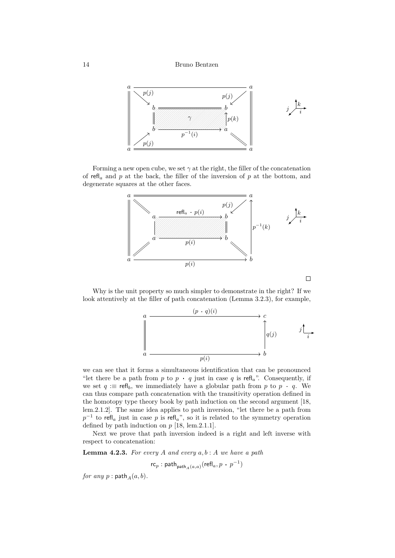

Forming a new open cube, we set  $\gamma$  at the right, the filler of the concatenation of refl*<sup>a</sup>* and *p* at the back, the filler of the inversion of *p* at the bottom, and degenerate squares at the other faces.



Why is the unit property so much simpler to demonstrate in the right? If we look attentively at the filler of path concatenation (Lemma 3.2.3), for example,



we can see that it forms a simultaneous identification that can be pronounced "let there be a path from  $p$  to  $p \cdot q$  just in case  $q$  is refl<sub>a</sub>". Consequently, if we set  $q := \text{refl}_b$ , we immediately have a globular path from p to  $p \cdot q$ . We can thus compare path concatenation with the transitivity operation defined in the homotopy type theory book by path induction on the second argument [18, lem.2.1.2]. The same idea applies to path inversion, "let there be a path from  $p^{-1}$  to refl<sub>a</sub> just in case *p* is refl<sub>a</sub>", so it is related to the symmetry operation defined by path induction on  $p$  [18, lem.2.1.1].

Next we prove that path inversion indeed is a right and left inverse [with](#page-29-0) respect to concatenation:

**Lemma 4.2.3.** For every  $A$  an[d e](#page-29-0)very  $a, b : A$  we have a path

$$
\mathsf{rc}_p : \mathsf{path}_{\mathsf{path}_A(a,a)}(\mathsf{refl}_a, p \, \cdot \, p^{-1})
$$

*for any*  $p$  : path  $_A$   $(a, b)$ *.*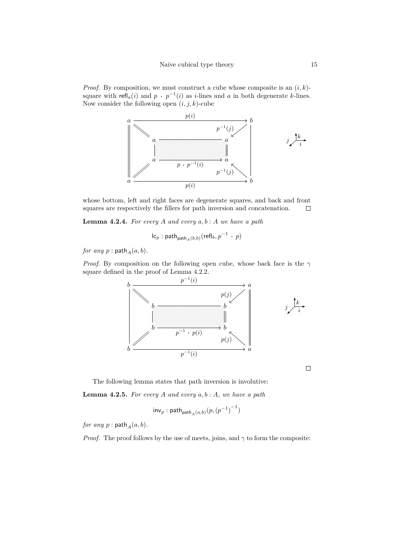*Proof.* By composition, we must construct a cube whose composite is an (*i, k*) square with  $refl_a(i)$  and  $p \cdot p^{-1}(i)$  as *i*-lines and *a* in both degenerate *k*-lines. Now consider the following open (*i, j, k*)-cube



whose bottom, left and right faces are degenerate squares, and back and front squares are respectively the fillers for path inversion and concatenation.  $\Box$ 

**Lemma 4.2.4.** *For every A and every a, b* : *A we have a path*

$$
\mathsf{lc}_p:\mathsf{path}_{\mathsf{path}_A(b,b)}(\mathsf{refl}_b,p^{-1}+p)
$$

*for any*  $p$  :  $path_A(a, b)$ *.* 

*Proof.* By composition on the following open cube, whose back face is the *γ* square defined in the proof of Lemma 4.2.2.



 $\Box$ 

The following lemma states that path inversion is involutive: **Lemma 4.2.5.** *For every A and every a, b* : *A, we have a path*

$$
\mathsf{inv}_p : \mathsf{path}_{\mathsf{path}_A(a,b)}(p, {(p^{-1})}^{-1})
$$

<span id="page-14-0"></span>*for any*  $p$  :  $path_A(a, b)$ *.* 

*Proof.* The proof follows by the use of meets, joins, and  $\gamma$  to form the composite: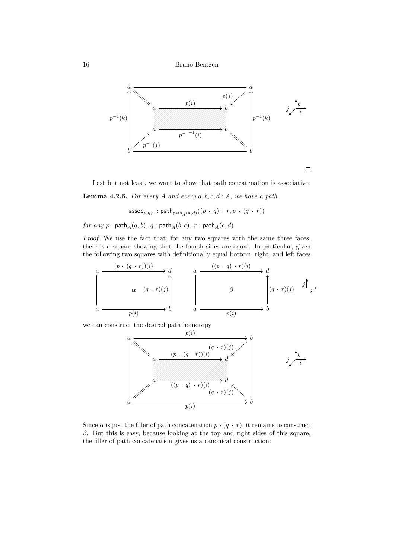16 Bruno Bentzen



Last but not least, we want to show that path concatenation is associative.

**Lemma 4.2.6.** *For every A and every a, b, c, d* : *A, we have a path*

assoc<sub>p,q,r</sub> : path<sub>path</sub><sub> $_A(a,d)$ </sub>  $((p \cdot q) \cdot r, p \cdot (q \cdot r))$ 

*for any*  $p$  :  $\textsf{path}_A(a, b)$ *,*  $q$  :  $\textsf{path}_A(b, c)$ *,*  $r$  :  $\textsf{path}_A(c, d)$ *.* 

*Proof.* We use the fact that, for any two squares with the same three faces, there is a square showing that the fourth sides are equal. In particular, given the following two squares with definitionally equal bottom, right, and left faces



we can construct the desired path homotopy



Since  $\alpha$  is just the filler of path concatenation  $p \cdot (q \cdot r)$ , it remains to construct *β*. But this is easy, because looking at the top and right sides of this square, the filler of path concatenation gives us a canonical construction: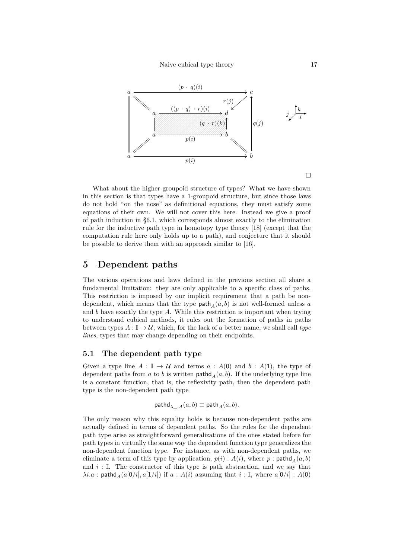

What about the higher groupoid structure of types? What we have shown in this section is that types have a 1-groupoid structure, but since those laws do not hold "on the nose" as definitional equations, they must satisfy some equations of their own. We will not cover this here. Instead we give a proof of path induction in §6.1, which corresponds almost exactly to the elimination rule for the inductive path type in homotopy type theory [18] (except that the computation rule here only holds up to a path), and conjecture that it should be possible to derive them with an approach similar to [16].

## **5 Dependent paths**

The various operations and laws defined in the previ[ous](#page-29-5) section all share a fundamental limitation: they are only applicable to a specific class of paths. This restriction is imposed by our implicit requirement that a path be nondependent, which means that the type path<sub> $A$ </sub> $(a, b)$  is not well-formed unless *a* and *b* have exactly the type *A*. While this restriction is important when trying to understand cubical methods, it rules out the formation of paths in paths between types  $A: \mathbb{I} \to \mathcal{U}$ , which, for the lack of a better name, we shall call *type lines*, types that may change depending on their endpoints.

### **5.1 The dependent path type**

Given a type line  $A : \mathbb{I} \to \mathcal{U}$  and terms  $a : A(0)$  and  $b : A(1)$ , the type of dependent paths from  $a$  to  $b$  is written path  $A(a, b)$ . If the underlying type line is a constant function, that is, the reflexivity path, then the dependent path type is the non-dependent path type

$$
\mathsf{pathd}_{\lambda \_\cdot A}(a,b) \equiv \mathsf{path}_A(a,b).
$$

The only reason why this equality holds is because non-dependent paths are actually defined in terms of dependent paths. So the rules for the dependent path type arise as straightforward generalizations of the ones stated before for path types in virtually the same way the dependent function type generalizes the non-dependent function type. For instance, as with non-dependent paths, we eliminate a term of this type by application,  $p(i) : A(i)$ , where  $p : \mathsf{pathd}_A(a, b)$ and  $i: \mathbb{I}$ . The constructor of this type is path abstraction, and we say that  $\lambda i.a$ : pathd<sub>A</sub>( $a[0/i], a[1/i]$ ) if  $a : A(i)$  assuming that  $i : \mathbb{I}$ , where  $a[0/i] : A(0)$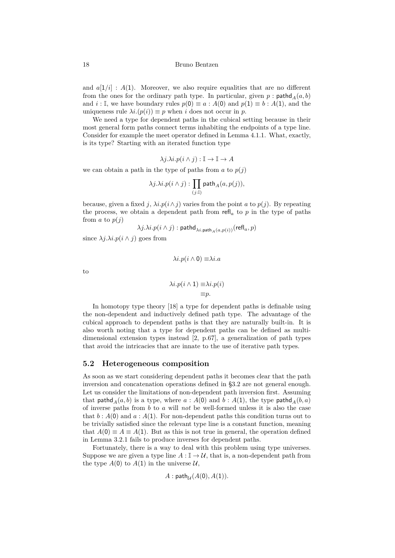18 Bruno Bentzen

and  $a[1/i]$  :  $A(1)$ . Moreover, we also require equalities that are no different from the ones for the ordinary path type. In particular, given  $p$ : pathd<sub>A</sub> $(a, b)$ and *i* : I, we have boundary rules  $p(0) \equiv a : A(0)$  and  $p(1) \equiv b : A(1)$ , and the uniqueness rule  $\lambda i.(p(i)) \equiv p$  when *i* does not occur in *p*.

We need a type for dependent paths in the cubical setting because in their most general form paths connect terms inhabiting the endpoints of a type line. Consider for example the meet operator defined in Lemma 4.1.1. What, exactly, is its type? Starting with an iterated function type

$$
\lambda j.\lambda i.p(i \wedge j) : \mathbb{I} \to \mathbb{I} \to A
$$

we can obtain a path in the type of paths from  $a$  to  $p(j)$ 

$$
\lambda j.\lambda i.p(i \wedge j):\prod_{(j:\mathbb{I})} \mathsf{path}_A(a,p(j)),
$$

because, given a fixed *j*,  $\lambda i. p(i \wedge j)$  varies from the point *a* to  $p(j)$ . By repeating the process, we obtain a dependent path from  $\text{refl}_a$  to p in the type of paths from  $a$  to  $p(i)$ 

$$
\lambda j. \lambda i. p (i \wedge j): \mathsf{pathd}_{\lambda i.\mathsf{path}_A(a,p(i))}(\mathsf{refl}_a,p)
$$

since  $\lambda j.\lambda i.p(i \wedge j)$  goes from

$$
\lambda i.p(i \wedge 0) \equiv \lambda i.a
$$

to

$$
\lambda i.p(i \wedge 1) \equiv \lambda i.p(i)
$$

$$
\equiv p.
$$

In homotopy type theory [18] a type for dependent paths is definable using the non-dependent and inductively defined path type. The advantage of the cubical approach to dependent paths is that they are naturally built-in. It is also worth noting that a type for dependent paths can be defined as multidimensional extension types [ins](#page-29-0)tead [2, p.67], a generalization of path types that avoid the intricacies that are innate to the use of iterative path types.

#### **5.2 Heterogeneous compos[it](#page-27-2)ion**

As soon as we start considering dependent paths it becomes clear that the path inversion and concatenation operations defined in §3.2 are not general enough. Let us consider the limitations of non-dependent path inversion first. Assuming that pathd<sub>*A*</sub>(*a*, *b*) is a type, where *a* : *A*(0) and *b* : *A*(1), the type pathd<sub>*A*</sub>(*b*, *a*) of inverse paths from *b* to *a* will *not* be well-formed unless it is also the case that  $b : A(0)$  and  $a : A(1)$ . For non-dependent path[s th](#page-7-1)is condition turns out to be trivially satisfied since the relevant type line is a constant function, meaning that  $A(0) \equiv A \equiv A(1)$ . But as this is not true in general, the operation defined in Lemma 3.2.1 fails to produce inverses for dependent paths.

Fortunately, there is a way to deal with this problem using type universes. Suppose we are given a type line  $A: \mathbb{I} \to \mathcal{U}$ , that is, a non-dependent path from the type  $A(0)$  to  $A(1)$  in the universe  $U$ ,

$$
A:\mathsf{path}_{\mathcal{U}}(A(0),A(1)).
$$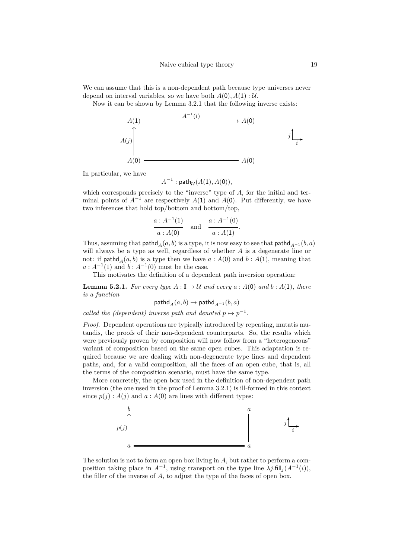We can assume that this is a non-dependent path because type universes never depend on interval variables, so we have both  $A(0), A(1): \mathcal{U}$ .

Now it can be shown by Lemma 3.2.1 that the following inverse exists:



In particular, we have

 $A^{-1}:$  path $\mathcal{U}(A(1), A(0)),$ 

which corresponds precisely to the "inverse" type of A, for the initial and terminal points of  $A^{-1}$  are respectively  $A(1)$  and  $A(0)$ . Put differently, we have two inferences that hold top/bottom and bottom/top,

$$
\frac{a : A^{-1}(1)}{a : A(0)} \quad \text{and} \quad \frac{a : A^{-1}(0)}{a : A(1)}
$$

*.*

Thus, assuming that pathd<sub>*A*</sub>(*a, b*) is a type, it is now easy to see that pathd<sub>*A*<sup>−1</sup></sub>(*b, a*) will always be a type as well, regardless of whether *A* is a degenerate line or not: if  $\text{pathd}_A(a, b)$  is a type then we have  $a : A(0)$  and  $b : A(1)$ , meaning that  $a: A^{-1}(1)$  and  $b: A^{-1}(0)$  must be the case.

This motivates the definition of a dependent path inversion operation:

**Lemma 5.2.1.** For every type  $A: \mathbb{I} \to \mathcal{U}$  and every  $a: A(0)$  and  $b: A(1)$ , there *is a function*

$$
\mathsf{pathd}_A(a,b) \to \mathsf{pathd}_{A^{-1}}(b,a)
$$

<span id="page-18-0"></span>*called the (dependent) inverse path and denoted*  $p \mapsto p^{-1}$ *.* 

*Proof.* Dependent operations are typically introduced by repeating, mutatis mutandis, the proofs of their non-dependent counterparts. So, the results which were previously proven by composition will now follow from a "heterogeneous" variant of composition based on the same open cubes. This adaptation is required because we are dealing with non-degenerate type lines and dependent paths, and, for a valid composition, all the faces of an open cube, that is, all the terms of the composition scenario, must have the same type.

More concretely, the open box used in the definition of non-dependent path inversion (the one used in the proof of Lemma 3.2.1) is ill-formed in this context since  $p(j)$ :  $A(j)$  and  $a$ :  $A(0)$  are lines with different types:



The solution is not to form an open box living in *A*, but rather to perform a composition taking place in  $A^{-1}$ , using transport on the type line  $\lambda j$ .fill<sub>j</sub> $(A^{-1}(i))$ , the filler of the inverse of *A*, to adjust the type of the faces of open box.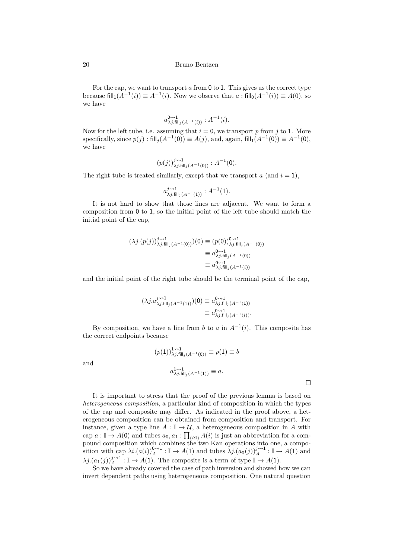#### 20 Bruno Bentzen

For the cap, we want to transport *a* from 0 to 1. This gives us the correct type because  $\text{fill}_1(A^{-1}(i)) \equiv A^{-1}(i)$ . Now we observe that  $a : \text{fill}_0(A^{-1}(i)) \equiv A(0)$ , so we have

$$
a_{\lambda j. \text{fill}_j(A^{-1}(i))}^{0 \rightarrow 1} : A^{-1}(i).
$$

Now for the left tube, i.e. assuming that  $i = 0$ , we transport p from j to 1. More specifically, since  $p(j)$ : fill<sub>j</sub> $(A^{-1}(0)) \equiv A(j)$ , and, again, fill<sub>1</sub> $(A^{-1}(0)) \equiv A^{-1}(0)$ , we have

$$
(p(j))_{\lambda j. \mathsf{fill}_j(A^{-1}(0))}^{j \leadsto 1} : A^{-1}(0).
$$

The right tube is treated similarly, except that we transport  $a$  (and  $i = 1$ ),

$$
a_{\lambda j. \mathsf{fill}_j(A^{-1}(1))}^{j \rightarrow 1} : A^{-1}(1).
$$

It is not hard to show that those lines are adjacent. We want to form a composition from 0 to 1, so the initial point of the left tube should match the initial point of the cap,

$$
(\lambda j.(p(j)))_{\lambda j. \text{fill}_j(A^{-1}(0))}^{j \to 1})(0) \equiv (p(0))_{\lambda j. \text{fill}_j(A^{-1}(0))}^{0 \to 1}
$$
  

$$
\equiv a_{\lambda j. \text{fill}_j(A^{-1}(0))}^{0 \to 1}
$$
  

$$
\equiv a_{\lambda j. \text{fill}_j(A^{-1}(0))}^{0 \to 1}
$$
  

$$
\equiv a_{\lambda j. \text{fill}_j(A^{-1}(i))}^{0 \to 1}
$$

and the initial point of the right tube should be the terminal point of the cap,

$$
(\lambda j. a_{\lambda j. \text{fill}_j(A^{-1}(1))}^{j \to 1})(0) \equiv a_{\lambda j. \text{fill}_j(A^{-1}(1))}^{0 \to 1}
$$
  

$$
\equiv a_{\lambda j. \text{fill}_j(A^{-1}(i))}^{0 \to 1}.
$$

By composition, we have a line from *b* to *a* in  $A^{-1}(i)$ . This composite has the correct endpoints because

and

$$
(p(1))_{\lambda j, \text{fill}_{j}(A^{-1}(0))}^{1 \to 1} \equiv p(1) \equiv b
$$

$$
a_{\lambda j, \text{fill}_{j}(A^{-1}(1))}^{1 \to 1} \equiv a.
$$

It is important to stress that the proof of the previous lemma is based on *heterogeneous composition*, a particular kind of composition in which the types of the cap and composite may differ. As indicated in the proof above, a heterogeneous composition can be obtained from composition and transport. For instance, given a type line  $A: \mathbb{I} \to \mathcal{U}$ , a heterogeneous composition in A with cap  $a: \mathbb{I} \to A(0)$  and tubes  $a_0, a_1: \prod_{(i:\mathbb{I})} A(i)$  is just an abbreviation for a compound composition which combines the two Kan operations into one, a composition with cap  $\lambda i.(a(i))_A^{0\rightsquigarrow 1} : \mathbb{I} \to A(1)$  and tubes  $\lambda j.(a_0(j))_A^{j\rightsquigarrow 1} : \mathbb{I} \to A(1)$  and  $\lambda j \cdot (a_1(j))_A^{j \rightarrow 1} : \mathbb{I} \to A(1)$ . The composite is a term of type  $\mathbb{I} \to A(1)$ .

So we have already covered the case of path inversion and showed how we can invert dependent paths using heterogeneous composition. One natural question

 $\Box$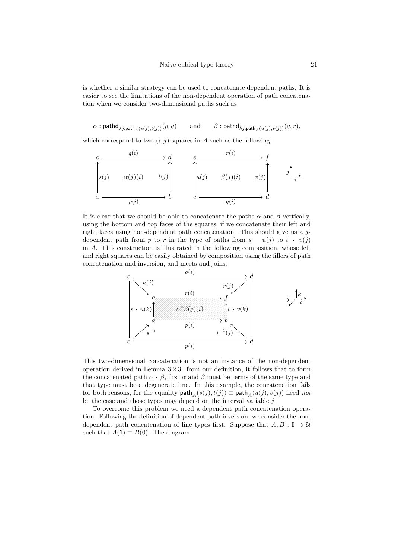is whether a similar strategy can be used to concatenate dependent paths. It is easier to see the limitations of the non-dependent operation of path concatenation when we consider two-dimensional paths such as

 $\alpha$  : pathd<sub> $\lambda$ *j*.path<sub>*A*</sub>(*s*(*j*)*,t*(*j*))</sub>(*p, q*) and  $\beta$  : pathd<sub> $\lambda$ *j*.path<sub>*A*</sub>(*u*(*j*)*,v*(*j*))</sub>(*q, r*)*,* 

which correspond to two  $(i, j)$ -squares in *A* such as the following:

$$
\begin{array}{ccc}\nc & q(i) & \rightarrow d & e & \xrightarrow{r(i)} & \rightarrow f \\
\updownarrow s(j) & \alpha(j)(i) & t(j) & \updownarrow s(j) & \downarrow s(j) & \updownarrow s(j) & \updownarrow s(j) \\
a & \xrightarrow{p(i)} & b & c & \xrightarrow{q(i)} & d\n\end{array}
$$

It is clear that we should be able to concatenate the paths  $\alpha$  and  $\beta$  vertically, using the bottom and top faces of the squares, if we concatenate their left and right faces using non-dependent path concatenation. This should give us a *j*dependent path from *p* to *r* in the type of paths from  $s \cdot u(j)$  to  $t \cdot v(j)$ in *A*. This construction is illustrated in the following composition, whose left and right squares can be easily obtained by composition using the fillers of path concatenation and inversion, and meets and joins:



This two-dimensional concatenation is not an instance of the non-dependent operation derived in Lemma 3.2.3: from our definition, it follows that to form the concatenated path  $\alpha \cdot \beta$ , first  $\alpha$  and  $\beta$  must be terms of the same type and that type must be a degenerate line. In this example, the concatenation fails for both reasons, for the equality  $\text{path}_A(s(j), t(j)) \equiv \text{path}_A(u(j), v(j))$  need *not* be the case and those types [may d](#page-8-0)epend on the interval variable *j*.

To overcome this problem we need a dependent path concatenation operation. Following the definition of dependent path inversion, we consider the nondependent path concatenation of line types first. Suppose that  $A, B : \mathbb{I} \to \mathcal{U}$ such that  $A(1) \equiv B(0)$ . The diagram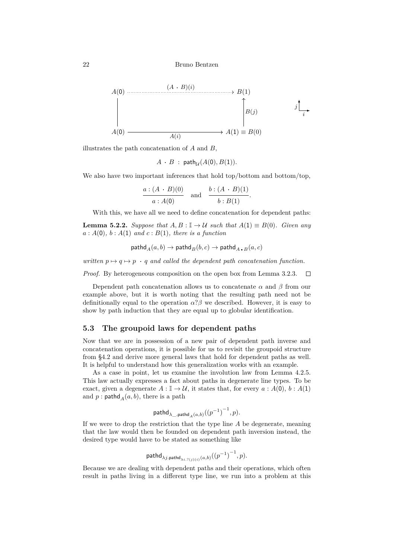

illustrates the path concatenation of *A* and *B*,

$$
A \cdot B : \mathsf{path}_{\mathcal{U}}(A(0), B(1)).
$$

We also have two important inferences that hold top/bottom and bottom/top,

$$
\frac{a:(A \cdot B)(0)}{a:A(0)} \quad \text{and} \quad \frac{b:(A \cdot B)(1)}{b:B(1)}.
$$

With this, we have all we need to define concatenation for dependent paths:

**Lemma 5.2.2.** *Suppose that*  $A, B: \mathbb{I} \to \mathcal{U}$  *such that*  $A(1) \equiv B(0)$ *. Given any*  $a : A(0), b : A(1)$  *and*  $c : B(1),$  *there is a function* 

$$
\textsf{pathd}_A(a,b) \to \textsf{pathd}_B(b,c) \to \textsf{pathd}_A\centerdot_B(a,c)
$$

<span id="page-21-0"></span>*written*  $p \mapsto q \mapsto p \cdot q$  *and called the dependent path concatenation function.* 

*Proof.* By heterogeneous composition on the open box from Lemma 3.2.3.  $\Box$ 

Dependent path concatenation allows us to concatenate  $\alpha$  and  $\beta$  from our example above, but it is worth noting that the resulting path need not be definitionally equal to the operation  $\alpha$ ? $\beta$  we described. However, it [is ea](#page-8-0)sy to show by path induction that they are equal up to globular identification.

### **5.3 The groupoid laws for dependent paths**

Now that we are in possession of a new pair of dependent path inverse and concatenation operations, it is possible for us to revisit the groupoid structure from §4.2 and derive more general laws that hold for dependent paths as well. It is helpful to understand how this generalization works with an example.

As a case in point, let us examine the involution law from Lemma 4.2.5. This law actually expresses a fact about paths in degenerate line types. To be exact, [giv](#page-12-0)en a degenerate  $A : \mathbb{I} \to \mathcal{U}$ , it states that, for every  $a : A(0), b : A(1)$ and  $p:$  pathd<sub>*A*</sub> $(a, b)$ , there is a path

$$
\mathsf{pathd}_{\lambda\_\cdot \mathsf{pathd}_A(a,b)}({(p^{-1})}^{-1},p).
$$

If we were to drop the restriction that the type line *A* be degenerate, meaning that the law would then be founded on dependent path inversion instead, the desired type would have to be stated as something like

$$
\mathsf{pathd}_{\lambda j.\mathsf{pathd}_{\lambda i.? (j)(i)}(a,b)}(\left(p^{-1}\right)^{-1},p).
$$

Because we are dealing with dependent paths and their operations, which often result in paths living in a different type line, we run into a problem at this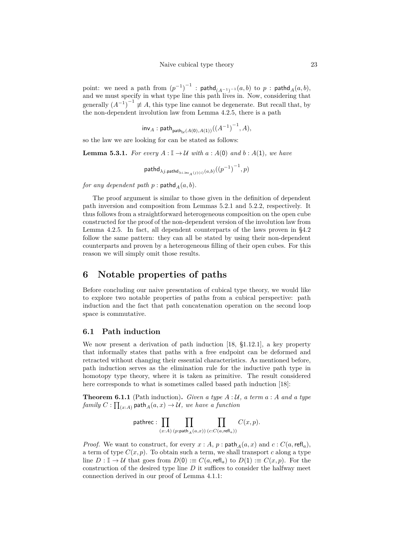$\text{point:} \ \ \text{we need a path from} \ \left(p^{-1}\right)^{-1} \ : \ \textsf{pathd}_{(A^{-1})^{-1}}(a,b) \ \ \text{to} \ \ p \ : \ \textsf{pathd}_{A}(a,b),$ and we must specify in what type line this path lives in. Now, considering that generally  $(A^{-1})^{-1} \neq A$ , this type line cannot be degenerate. But recall that, by the non-dependent involution law from Lemma 4.2.5, there is a path

$$
\mathsf{inv}_A : \mathsf{path}_{\mathsf{path}_{\mathcal{U}}(A(\mathbf{0}), A(\mathbf{1}))}((A^{-1})^{-1}, A),
$$

so the law we are looking for can be stated as f[ollows](#page-14-0):

**Lemma 5.3.1.** *For every*  $A: \mathbb{I} \to \mathcal{U}$  *with*  $a: A(0)$  *and*  $b: A(1)$ *, we have* 

$$
\mathsf{pathd}_{\lambda j.\mathsf{pathd}_{\lambda i.\mathsf{inv}_A(j)(i)}(a,b)}(\left(p^{-1}\right)^{-1},p)
$$

*for any dependent path p* : pathd<sub>*A*</sub>( $a, b$ )*.* 

The proof argument is similar to those given in the definition of dependent path inversion and composition from Lemmas 5.2.1 and 5.2.2, respectively. It thus follows from a straightforward heterogeneous composition on the open cube constructed for the proof of the non-dependent version of the involution law from Lemma 4.2.5. In fact, all dependent counterparts of the laws proven in §4.2 follow the same pattern: they can all be state[d by](#page-18-0) usin[g thei](#page-21-0)r non-dependent counterparts and proven by a heterogeneous filling of their open cubes. For this reason we will simply omit those results.

## **6 Notable properties of paths**

Before concluding our naive presentation of cubical type theory, we would like to explore two notable properties of paths from a cubical perspective: path induction and the fact that path concatenation operation on the second loop space is commutative.

### **6.1 Path induction**

<span id="page-22-0"></span>We now present a derivation of path induction [18, §1.12.1], a key property that informally states that paths with a free endpoint can be deformed and retracted without changing their essential characteristics. As mentioned before, path induction serves as the elimination rule for the inductive path type in homotopy type theory, where it is taken as prim[itiv](#page-29-0)e. The result considered here corresponds to what is sometimes called based path induction [18]:

**Theorem 6.1.1** (Path induction)**.** *Given a type A* : *U, a term a* : *A and a type*  $family C: \prod_{(x:A)} \mathsf{path}_A(a,x) \rightarrow \mathcal{U},$  we have a function

$$
\text{pathrec}: \prod_{(x:A)} \prod_{(p:\text{path}_A(a,x))} \prod_{(c:C(a,\text{refl}_a))} C(x,p).
$$

*Proof.* We want to construct, for every  $x : A$ ,  $p : \text{path}_A(a, x)$  and  $c : C(a, \text{refl}_a)$ , a term of type  $C(x, p)$ . To obtain such a term, we shall transport c along a type line  $D: \mathbb{I} \to \mathcal{U}$  that goes from  $D(0) := C(a, \text{refl}_a)$  to  $D(1) := C(x, p)$ . For the construction of the desired type line *D* it suffices to consider the halfway meet connection derived in our proof of Lemma 4.1.1: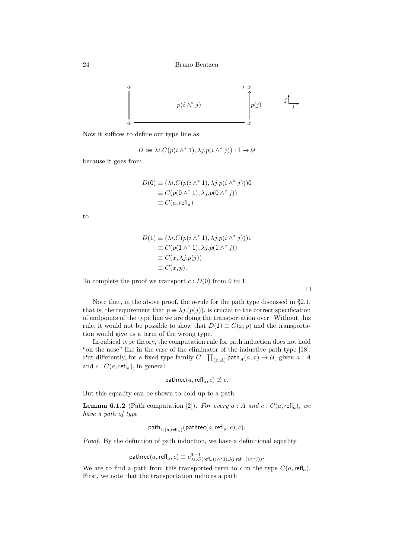

Now it suffices to define our type line as:

$$
D := \lambda i \cdot C(p(i \wedge^* 1), \lambda j \cdot p(i \wedge^* j)) : \mathbb{I} \to \mathcal{U}
$$

because it goes from

$$
D(0) \equiv (\lambda i.C(p(i \wedge^* 1), \lambda j.p(i \wedge^* j)))0
$$
  
\n
$$
\equiv C(p(0 \wedge^* 1), \lambda j.p(0 \wedge^* j))
$$
  
\n
$$
\equiv C(a, \text{refl}_a)
$$

to

$$
D(1) \equiv (\lambda i.C(p(i \wedge^* 1), \lambda j.p(i \wedge^* j)))1
$$
  
\n
$$
\equiv C(p(1 \wedge^* 1), \lambda j.p(1 \wedge^* j))
$$
  
\n
$$
\equiv C(x, \lambda j.p(j))
$$
  
\n
$$
\equiv C(x, p).
$$

To complete the proof we transport  $c: D(0)$  from 0 to 1.

Note that, in the above proof, the  $\eta$ -rule for the path type discussed in §2.1, that is, the requirement that  $p \equiv \lambda j.(p(j))$ , is crucial to the correct specification of endpoints of the type line we are doing the transportation over. Without this rule, it would not be possible to show that  $D(1) \equiv C(x, p)$  and the transportation would give us a term of the wrong type.

In cubical type theory, the computation rule for path induction does not [hold](#page-2-0) "on the nose" like in the case of the eliminator of the inductive path type [18]. Put differently, for a fixed type family  $C: \prod_{(x:A)} \text{path}_A(a,x) \to \mathcal{U}$ , given  $a: A$ and  $c: C(a, \text{refl}_a)$ , in general,

$$
\mathsf{pathrec}(a,\mathsf{refl}_a,c) \not\equiv c.
$$

But this equality can be shown to hold up to a path:

**Lemma 6.1.2** (Path computation [2]). For every  $a : A$  and  $c : C(a, \text{refl}_a)$ , we *have a path of type*

$$
\mathsf{path}_{C(a,\mathsf{refl}_a)}(\mathsf{pathrec}(a,\mathsf{refl}_a,c),c).
$$

*Proof.* By the definition of path ind[uc](#page-27-2)tion, we have a definitional equality

$$
\mathsf{pathrec}(a,\mathsf{refl}_a,c) \equiv c_{\lambda i.C(\mathsf{refl}_a(i \wedge^* 1),\lambda j.\mathsf{refl}_a(i \wedge^* j))}^{\mathsf{0}\leadsto 1}.
$$

We are to find a path from this transported term to *c* in the type  $C(a, \text{refl}_a)$ . First, we note that the transportation induces a path

 $\Box$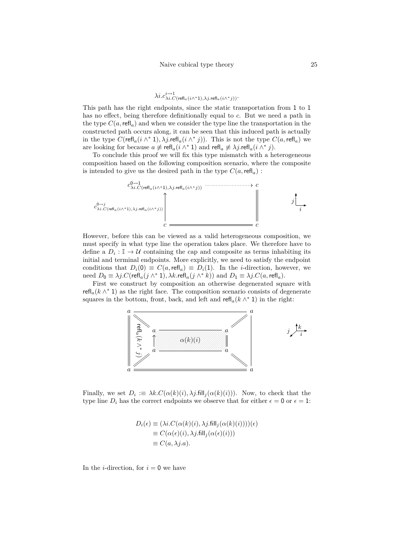# $\lambda i. c_{\lambda i. C(\text{refl}_a(i\wedge^*1), \lambda j. \text{refl}_a(i\wedge^*j))}.$

This path has the right endpoints, since the static transportation from 1 to 1 has no effect, being therefore definitionally equal to *c*. But we need a path in the type  $C(a, \text{refl}_a)$  and when we consider the type line the transportation in the constructed path occurs along, it can be seen that this induced path is actually in the type  $C(\text{refl}_a(i \wedge^* 1), \lambda j.\text{refl}_a(i \wedge^* j))$ . This is not the type  $C(a, \text{refl}_a)$  we are looking for because  $a \not\equiv \text{refl}_a(i \wedge^* 1)$  and  $\text{refl}_a \not\equiv \lambda j.\text{refl}_a(i \wedge^* j)$ .

To conclude this proof we will fix this type mismatch with a heterogeneous composition based on the following composition scenario, where the composite is intended to give us the desired path in the type  $C(a, \text{refl}_a)$ :



However, before this can be viewed as a valid heterogeneous composition, we must specify in what type line the operation takes place. We therefore have to define a  $D_i: \mathbb{I} \to \mathcal{U}$  containing the cap and composite as terms inhabiting its initial and terminal endpoints. More explicitly, we need to satisfy the endpoint conditions that  $D_i(0) \equiv C(a, \text{refl}_a) \equiv D_i(1)$ . In the *i*-direction, however, we need  $D_0 \equiv \lambda j.C(\text{refl}_a(j \wedge^* 1), \lambda k.\text{refl}_a(j \wedge^* k))$  and  $D_1 \equiv \lambda j.C(a,\text{refl}_a)$ .

First we construct by composition an otherwise degenerated square with  $\text{refl}_a(k \wedge^* 1)$  as the right face. The composition scenario consists of degenerate squares in the bottom, front, back, and left and  $\text{refl}_a(k \wedge^* 1)$  in the right:



Finally, we set  $D_i := \lambda k.C(\alpha(k)(i), \lambda j$ .fill<sub>j</sub> $(\alpha(k)(i)))$ . Now, to check that the type line  $D_i$  has the correct endpoints we observe that for either  $\epsilon = 0$  or  $\epsilon = 1$ :

$$
D_i(\epsilon) \equiv (\lambda i.C(\alpha(k)(i), \lambda j. \text{fill}_j(\alpha(k)(i))))(\epsilon)
$$
  
\n
$$
\equiv C(\alpha(\epsilon)(i), \lambda j. \text{fill}_j(\alpha(\epsilon)(i)))
$$
  
\n
$$
\equiv C(a, \lambda j.a).
$$

In the *i*-direction, for  $i = 0$  we have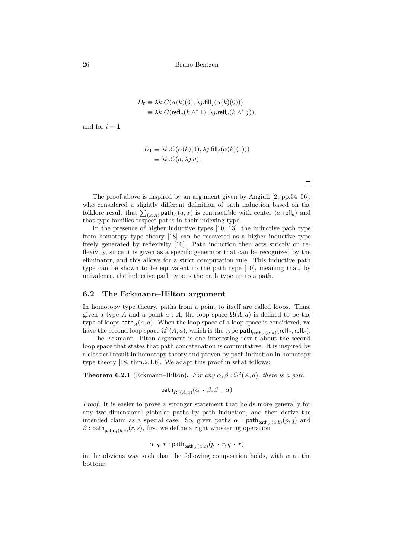$$
D_0 \equiv \lambda k \cdot C(\alpha(k)(0), \lambda j \cdot \text{fill}_j(\alpha(k)(0)))
$$
  

$$
\equiv \lambda k \cdot C(\text{refl}_a(k \wedge^* 1), \lambda j \cdot \text{refl}_a(k \wedge^* j)),
$$

and for  $i = 1$ 

$$
D_1 \equiv \lambda k \cdot C(\alpha(k)(1), \lambda j \cdot \text{fill}_j(\alpha(k)(1)))
$$
  

$$
\equiv \lambda k \cdot C(a, \lambda j \cdot a).
$$

 $\Box$ 

The proof above is inspired by an argument given by Angiuli [2, pp.54–56], who considered a slightly different definition of path induction based on the folklore result that  $\sum_{(x:A)}$  path $_A(a,x)$  is contractible with center  $\langle a, \text{refl}_a \rangle$  and that type families respect paths in their indexing type.

In the presence of higher inductive types [10, 13], the inducti[ve](#page-27-2) path type from homotopy type theory [18] can be recovered as a higher inductive type freely generated by reflexivity [10]. Path induction then acts strictly on reflexivity, since it is given as a specific generator that can be recognized by the eliminator, and this allows for a strict compu[tat](#page-28-7)i[on](#page-28-5) rule. This inductive path type can be shown to be eq[uiva](#page-29-0)lent to the path type [10], meaning that, by univalence, the inductive path t[ype](#page-28-7) is the path type up to a path.

#### **6.2 The Eckmann–Hilton argument**

In homotopy type theory, paths from a point to itself [are](#page-28-7) called loops. Thus, given a type *A* and a point  $a : A$ , the loop space  $\Omega(A, a)$  is defined to be the type of loops  $\textsf{path}_A(a, a)$ . When the loop space of a loop space is considered, we have the second loop space  $\Omega^2(A, a)$ , which is the type  $\mathsf{path}_{\mathsf{path}_A(a, a)}(\mathsf{refl}_a, \mathsf{refl}_a)$ .

The Eckmann–Hilton argument is one interesting result about the second loop space that states that path concatenation is commutative. It is inspired by a classical result in homotopy theory and proven by path induction in homotopy type theory [18, thm.2.1.6]. We adapt this proof in what follows:

**Theorem 6.2.1** (Eckmann–Hilton). For any  $\alpha, \beta : \Omega^2(A, a)$ , there is a path

$$
\mathsf{path}_{\Omega^2(A,a)}(\alpha \cdot \beta, \beta \cdot \alpha)
$$

*Proof.* It is easier to prove a stronger statement that holds more generally for any two-dimensional globular paths by path induction, and then derive the intended claim as a special case. So, given paths  $\alpha$ : path<sub>path<sub>A</sub>(*a*,*b*)</sub>(*p*,*q*) and  $\beta$ : path<sub>path<sub>*A*</sub>(*b*,*c*)</sub>(*r*,*s*), first we define a right whiskering operation

$$
\alpha_{-r} \ r : \mathsf{path}_{\mathsf{path}_A(a,c)}(p \cdot r, q \cdot r)
$$

in the obvious way such that the following composition holds, with  $\alpha$  at the bottom: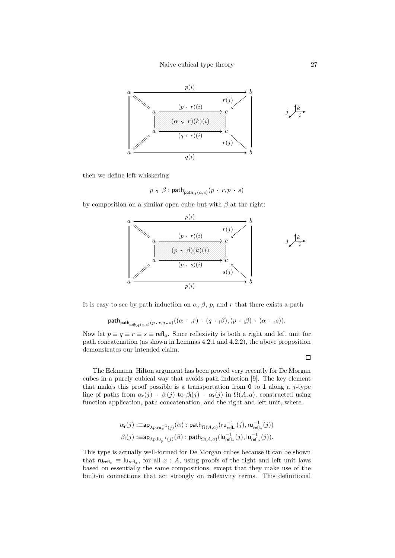

then we define left whiskering

$$
p+\beta:{\sf path}_{{\sf path}_A(a,c)}(p+r,p+s)
$$

by composition on a similar open cube but with *β* at the right:



It is easy to see by path induction on  $\alpha$ ,  $\beta$ ,  $p$ , and  $r$  that there exists a path

$$
\mathsf{path}_{\mathsf{path}_{\mathsf{path}_A(a,c)}(p\cdot r,q\cdot s)}((\alpha\cdot r)^{\mathsf{T}}\cdot(q\cdot\beta),(p\cdot\beta)\cdot(\alpha\cdot\mathsf{r}^s)).
$$

Now let  $p \equiv q \equiv r \equiv s \equiv \text{refl}_a$ . Since reflexivity is both a right and left unit for path concatenation (as shown in Lemmas 4.2.1 and 4.2.2), the above proposition demonstrates our intended claim.

 $\Box$ 

The Eckmann–Hilton argument has b[een pr](#page-12-1)ove[d very](#page-12-2) recently for De Morgan cubes in a purely cubical way that avoids path induction [9]. The key element that makes this proof possible is a transportation from 0 to 1 along a *j*-type line of paths from  $\alpha_r(j)$   $\cdot \beta_l(j)$  to  $\beta_l(j)$   $\cdot \alpha_r(j)$  in  $\Omega(A, a)$ , constructed using function application, path concatenation, and the right and left unit, where

$$
\begin{aligned} \alpha_{\mathsf{r}}(j):=&\mathsf{ap}_{\lambda p.\mathsf{ru}_p^{-1}(j)}(\alpha): \mathsf{path}_{\Omega(A,a)}(\mathsf{ru}_{\mathsf{refl}_a}^{-1}(j),\mathsf{ru}_{\mathsf{refl}_a}^{-1}(j))\\ \beta_{\mathsf{l}}(j):=&\mathsf{ap}_{\lambda p.\mathsf{lu}_p^{-1}(j)}(\beta): \mathsf{path}_{\Omega(A,a)}(\mathsf{lu}_{\mathsf{refl}_a}^{-1}(j),\mathsf{lu}_{\mathsf{refl}_a}^{-1}(j)).\end{aligned}
$$

This type is actually well-formed for De Morgan cubes because it can be shown that  $ru_{refl_x} \equiv lu_{refl_x}$ , for all  $x : A$ , using proofs of the right and left unit laws based on essentially the same compositions, except that they make use of the built-in connections that act strongly on reflexivity terms. This definitional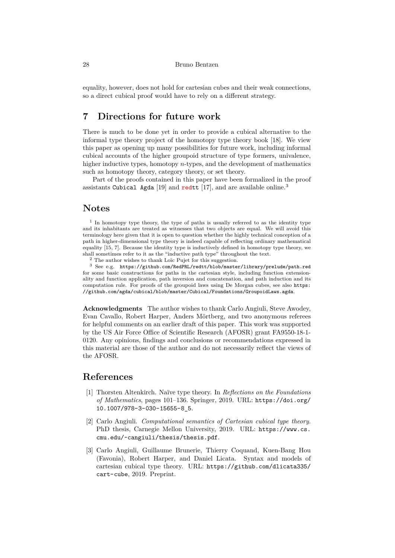equality, however, does not hold for cartesian cubes and their weak connections, so a direct cubical proof would have to rely on a different strategy.

## **7 Directions for future work**

There is much to be done yet in order to provide a cubical alternative to the informal type theory project of the homotopy type theory book [18]. We view this paper as opening up many possibilities for future work, including informal cubical accounts of the higher groupoid structure of type formers, univalence, higher inductive types, homotopy *n*-types, and the development of mathematics such as homotopy theory, category theory, or set theory.

Part of the proofs contained in this paper have been formalize[d in](#page-29-0) the proof assistants Cubical Agda [19] and redtt [17], and are available online.<sup>3</sup>

## **Notes**

<sup>1</sup> In homotopy type theory[, th](#page-29-2)e type of path[s is](#page-29-1) usually referred to as the identity type and its inhabitants are treated as witnesses that two objects are equal. We will avoid this terminology here given that it is open to question whether the highly technical conception of a path in higher-dimensional type theory is indeed capable of reflecting ordinary mathematical equality [15, 7]. Because the identity type is inductively defined in homotopy type theory, we shall sometimes refer to it as the "inductive path type" throughout the text.

<sup>2</sup> The author wishes to thank Loïc Pujet for this suggestion.

 $^3$  See e.g.  $\,$  https://github.com/RedPRL/redtt/blob/master/library/prelude/path.red for some basic constructions for paths in the cartesian style, including function extensionality and [fu](#page-28-8)n[ct](#page-28-9)ion application, path inversion and concatenation, and path induction and its computation rule. For proofs of the groupoid laws using De Morgan cubes, see also https: //github.com/agda/cubical/blob/master/Cubical/Foundations/GroupoidLaws.agda.

**Acknowledgments** The author wishes to thank Carlo Angiuli, Steve Awodey, Evan Cavallo, Robert Harper, Anders Mörtberg, and two anonymous r[eferees](https://github.com/agda/cubical/blob/master/Cubical/Foundations/GroupoidLaws.agda) [for helpful comments on an earlier draft of this paper. This work was supp](https://github.com/agda/cubical/blob/master/Cubical/Foundations/GroupoidLaws.agda)orted by the US Air Force Office of Scientific Research (AFOSR) grant FA9550-18-1- 0120. Any opinions, findings and conclusions or recommendations expressed in this material are those of the author and do not necessarily reflect the views of the AFOSR.

## **References**

- [1] Thorsten Altenkirch. Naïve type theory. In *Reflections on the Foundations of Mathematics*, pages 101–136. Springer, 2019. URL: https://doi.org/ 10.1007/978-3-030-15655-8\_5.
- <span id="page-27-1"></span>[2] Carlo Angiuli. *Computational semantics of Cartesian cubical type theory*. PhD thesis, Carnegie Mellon University, 2019. URL: [https://www.cs.](https://doi.org/10.1007/978-3-030-15655-8_5) [cmu.edu/~cangiuli/thesis/the](https://doi.org/10.1007/978-3-030-15655-8_5)sis.pdf.
- <span id="page-27-2"></span><span id="page-27-0"></span>[3] Carlo Angiuli, Guillaume Brunerie, Thierry Coquand, Kuen-Bang Hou (Favonia), Robert Harper, and Daniel Licata. Synt[ax and models of](https://www.cs.cmu.edu/~cangiuli/thesis/thesis.pdf) [cartesian cubical type theory. URL:](https://www.cs.cmu.edu/~cangiuli/thesis/thesis.pdf) https://github.com/dlicata335/ cart-cube, 2019. Preprint.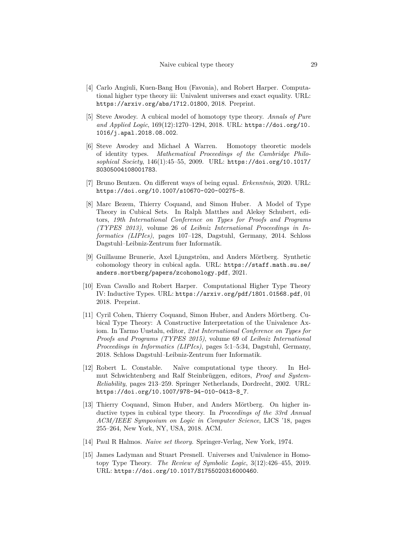- [4] Carlo Angiuli, Kuen-Bang Hou (Favonia), and Robert Harper. Computational higher type theory iii: Univalent universes and exact equality. URL: https://arxiv.org/abs/1712.01800, 2018. Preprint.
- <span id="page-28-1"></span>[5] Steve Awodey. A cubical model of homotopy type theory. *Annals of Pure and Applied Logic*, 169(12):1270–1294, 2018. URL: https://doi.org/10. [1016/j.apal.2018.08.002](https://arxiv.org/abs/1712.01800).
- <span id="page-28-4"></span>[6] Steve Awodey and Michael A Warren. Homotopy theoretic models of identity types. *Mathematical Proceedings of [the Cambridge Philo]( https://doi.org/10.1016/j.apal.2018.08.002)sophical Society*, 146(1):45–55, 2009. URL: https://doi.org/10.1017/ [S0305004108001783]( https://doi.org/10.1016/j.apal.2018.08.002).
- <span id="page-28-6"></span>[7] Bruno Bentzen. On different ways of being equal. *Erkenntnis*, 2020. URL: https://doi.org/10.1007/s10670-020-00[275-8](https://doi.org/10.1017/S0305004108001783).
- <span id="page-28-9"></span>[8] [Marc Bezem, Thierr](https://doi.org/10.1017/S0305004108001783)y Coquand, and Simon Huber. A Model of Type Theory in Cubical Sets. In Ralph Matthes and Aleksy Schubert, editors, *[19th International Conference on Types for](https://doi.org/10.1007/s10670-020-00275-8) Proofs and Programs (TYPES 2013)*, volume 26 of *Leibniz International Proceedings in Informatics (LIPIcs)*, pages 107–128, Dagstuhl, Germany, 2014. Schloss Dagstuhl–Leibniz-Zentrum fuer Informatik.
- [9] Guillaume Brunerie, Axel Ljungström, and Anders Mörtberg. Synthetic cohomology theory in cubical agda. URL: https://staff.math.su.se/ anders.mortberg/papers/zcohomology.pdf, 2021.
- [10] Evan Cavallo and Robert Harper. Computational Higher Type Theory IV: Inductive Types. URL: https://arxiv.[org/pdf/1801.01568.pdf](https://staff.math.su.se/anders.mortberg/papers/zcohomology.pdf), 01 [2018. Preprint.](https://staff.math.su.se/anders.mortberg/papers/zcohomology.pdf)
- <span id="page-28-7"></span>[11] Cyril Cohen, Thierry Coquand, Simon Huber, and Anders Mörtberg. Cubical Type Theory: A Co[nstructive Interpretation of the Univalence A](https://arxiv.org/pdf/1801.01568.pdf)xiom. In Tarmo Uustalu, editor, *21st International Conference on Types for Proofs and Programs (TYPES 2015)*, volume 69 of *Leibniz International Proceedings in Informatics (LIPIcs)*, pages 5:1–5:34, Dagstuhl, Germany, 2018. Schloss Dagstuhl–Leibniz-Zentrum fuer Informatik.
- <span id="page-28-0"></span>[12] Robert L. Constable. Naïve computational type theory. In Helmut Schwichtenberg and Ralf Steinbrüggen, editors, *Proof and System-Reliability*, pages 213–259. Springer Netherlands, Dordrecht, 2002. URL: https://doi.org/10.1007/978-94-010-0413-8\_7.
- <span id="page-28-3"></span>[13] Thierry Coquand, Simon Huber, and Anders Mörtberg. On higher inductive types in cubical type theory. In *Proceedings of the 33rd Annual [ACM/IEEE Symposium on Logic in Computer Scie](https://doi.org/10.1007/978-94-010-0413-8_7)nce*, LICS '18, pages 255–264, New York, NY, USA, 2018. ACM.
- <span id="page-28-5"></span>[14] Paul R Halmos. *Naive set theory*. Springer-Verlag, New York, 1974.
- <span id="page-28-8"></span><span id="page-28-2"></span>[15] James Ladyman and Stuart Presnell. Universes and Univalence in Homotopy Type Theory. *The Review of Symbolic Logic*, 3(12):426–455, 2019. URL: https://doi.org/10.1017/S1755020316000460.